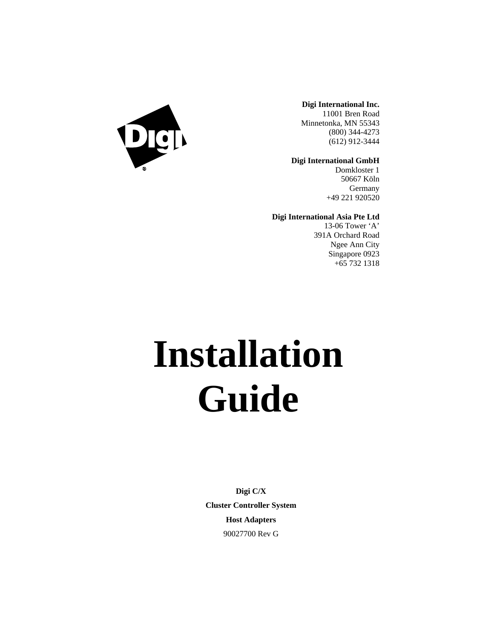

**Digi International Inc.** 11001 Bren Road Minnetonka, MN 55343 (800) 344-4273 (612) 912-3444

**Digi International GmbH**

Domkloster 1 50667 Köln Germany +49 221 920520

**Digi International Asia Pte Ltd**

13-06 Tower 'A' 391A Orchard Road Ngee Ann City Singapore 0923 +65 732 1318

# **Installation Guide**

**Digi C/X Cluster Controller System Host Adapters** 90027700 Rev G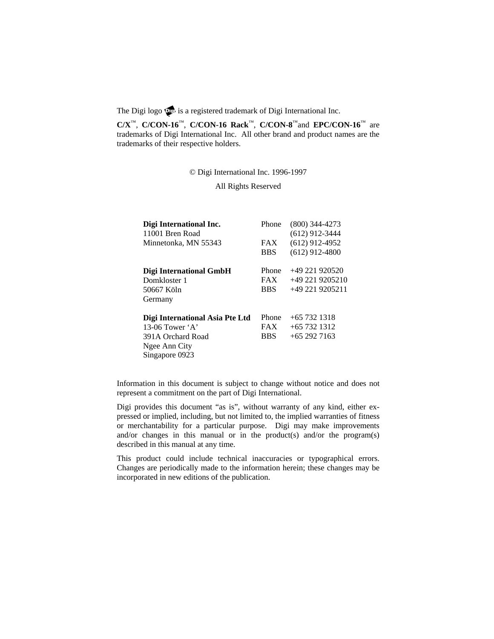The Digi logo  $\mathbb{Q}$  is a registered trademark of Digi International Inc.

**C/X**™, **C/CON-16**™, **C/CON-16 Rack**™, **C/CON-8**™and **EPC/CON-16**™ are trademarks of Digi International Inc. All other brand and product names are the trademarks of their respective holders.

© Digi International Inc. 1996-1997

All Rights Reserved

| Digi International Inc.         | Phone      | $(800)$ 344-4273 |
|---------------------------------|------------|------------------|
| 11001 Bren Road                 |            | $(612)$ 912-3444 |
| Minnetonka, MN 55343            | <b>FAX</b> | $(612)$ 912-4952 |
|                                 | <b>BBS</b> | $(612)$ 912-4800 |
| Digi International GmbH         | Phone      | $+49221920520$   |
| Domkloster 1                    | <b>FAX</b> | +49 221 9205210  |
| 50667 Köln                      | <b>BBS</b> | +49 221 9205211  |
| Germany                         |            |                  |
| Digi International Asia Pte Ltd | Phone      | $+65$ 732 1318   |
| 13-06 Tower $A$                 | <b>FAX</b> | $+65$ 732 1312   |
| 391A Orchard Road               | <b>BBS</b> | $+652927163$     |
| Ngee Ann City                   |            |                  |
| Singapore 0923                  |            |                  |

Information in this document is subject to change without notice and does not represent a commitment on the part of Digi International.

Digi provides this document "as is", without warranty of any kind, either expressed or implied, including, but not limited to, the implied warranties of fitness or merchantability for a particular purpose. Digi may make improvements and/or changes in this manual or in the product(s) and/or the program(s) described in this manual at any time.

This product could include technical inaccuracies or typographical errors. Changes are periodically made to the information herein; these changes may be incorporated in new editions of the publication.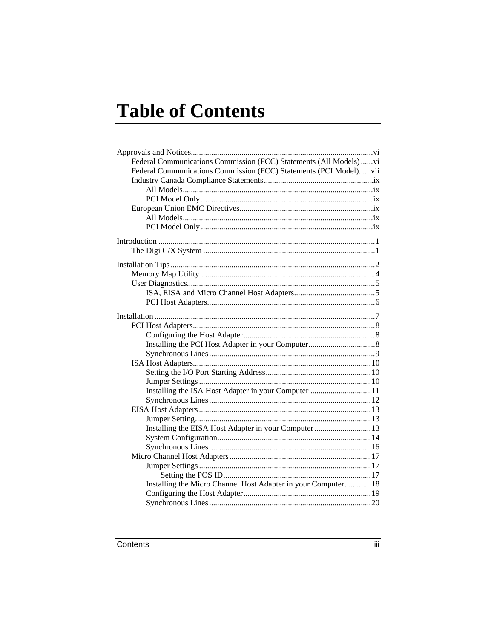# **Table of Contents**

| Federal Communications Commission (FCC) Statements (All Models) vi |  |
|--------------------------------------------------------------------|--|
| Federal Communications Commission (FCC) Statements (PCI Model)vii  |  |
|                                                                    |  |
|                                                                    |  |
|                                                                    |  |
|                                                                    |  |
|                                                                    |  |
|                                                                    |  |
|                                                                    |  |
|                                                                    |  |
|                                                                    |  |
|                                                                    |  |
|                                                                    |  |
|                                                                    |  |
|                                                                    |  |
|                                                                    |  |
|                                                                    |  |
|                                                                    |  |
|                                                                    |  |
|                                                                    |  |
|                                                                    |  |
|                                                                    |  |
|                                                                    |  |
| Installing the ISA Host Adapter in your Computer 11                |  |
|                                                                    |  |
|                                                                    |  |
|                                                                    |  |
| Installing the EISA Host Adapter in your Computer13                |  |
|                                                                    |  |
|                                                                    |  |
|                                                                    |  |
|                                                                    |  |
|                                                                    |  |
| Installing the Micro Channel Host Adapter in your Computer 18      |  |
|                                                                    |  |
|                                                                    |  |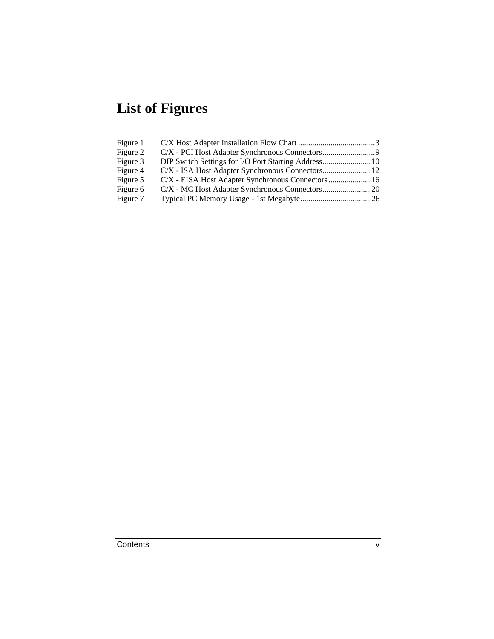## **List of Figures**

| DIP Switch Settings for I/O Port Starting Address 10<br>C/X - EISA Host Adapter Synchronous Connectors  16 |
|------------------------------------------------------------------------------------------------------------|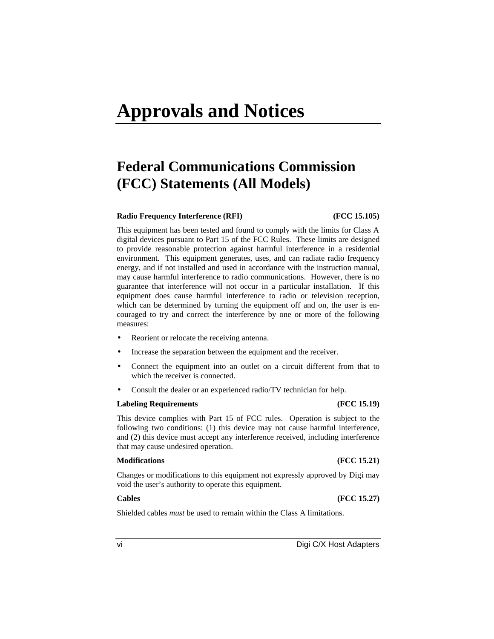# **Approvals and Notices**

### **Federal Communications Commission (FCC) Statements (All Models)**

#### **Radio Frequency Interference (RFI) (FCC 15.105)**

This equipment has been tested and found to comply with the limits for Class A digital devices pursuant to Part 15 of the FCC Rules. These limits are designed to provide reasonable protection against harmful interference in a residential environment. This equipment generates, uses, and can radiate radio frequency energy, and if not installed and used in accordance with the instruction manual, may cause harmful interference to radio communications. However, there is no guarantee that interference will not occur in a particular installation. If this equipment does cause harmful interference to radio or television reception, which can be determined by turning the equipment off and on, the user is encouraged to try and correct the interference by one or more of the following measures:

- Reorient or relocate the receiving antenna.
- Increase the separation between the equipment and the receiver.
- Connect the equipment into an outlet on a circuit different from that to which the receiver is connected.
- Consult the dealer or an experienced radio/TV technician for help.

#### **Labeling Requirements (FCC 15.19)**

This device complies with Part 15 of FCC rules. Operation is subject to the following two conditions: (1) this device may not cause harmful interference, and (2) this device must accept any interference received, including interference that may cause undesired operation.

#### **Modifications (FCC 15.21)**

Changes or modifications to this equipment not expressly approved by Digi may void the user's authority to operate this equipment.

**Cables (FCC 15.27)**

Shielded cables *must* be used to remain within the Class A limitations.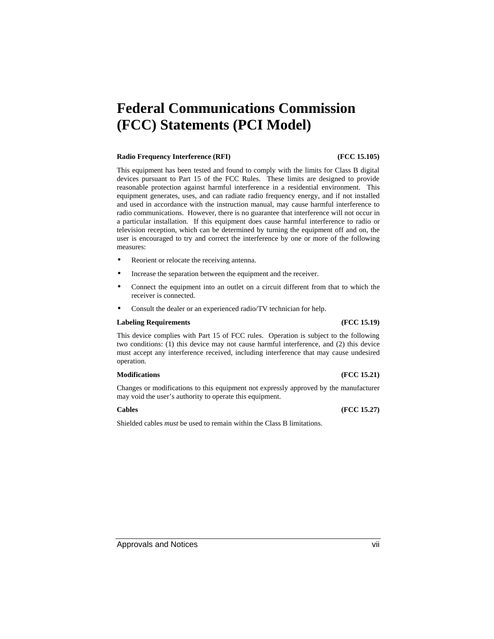### **Federal Communications Commission (FCC) Statements (PCI Model)**

#### **Radio Frequency Interference (RFI) (FCC 15.105)**

This equipment has been tested and found to comply with the limits for Class B digital devices pursuant to Part 15 of the FCC Rules. These limits are designed to provide reasonable protection against harmful interference in a residential environment. This equipment generates, uses, and can radiate radio frequency energy, and if not installed and used in accordance with the instruction manual, may cause harmful interference to radio communications. However, there is no guarantee that interference will not occur in a particular installation. If this equipment does cause harmful interference to radio or television reception, which can be determined by turning the equipment off and on, the user is encouraged to try and correct the interference by one or more of the following measures:

- Reorient or relocate the receiving antenna.
- Increase the separation between the equipment and the receiver.
- Connect the equipment into an outlet on a circuit different from that to which the receiver is connected.
- Consult the dealer or an experienced radio/TV technician for help.

#### **Labeling Requirements (FCC 15.19)**

This device complies with Part 15 of FCC rules. Operation is subject to the following two conditions: (1) this device may not cause harmful interference, and (2) this device must accept any interference received, including interference that may cause undesired operation.

#### **Modifications (FCC 15.21)**

Changes or modifications to this equipment not expressly approved by the manufacturer may void the user's authority to operate this equipment.

#### **Cables (FCC 15.27)**

Shielded cables *must* be used to remain within the Class B limitations.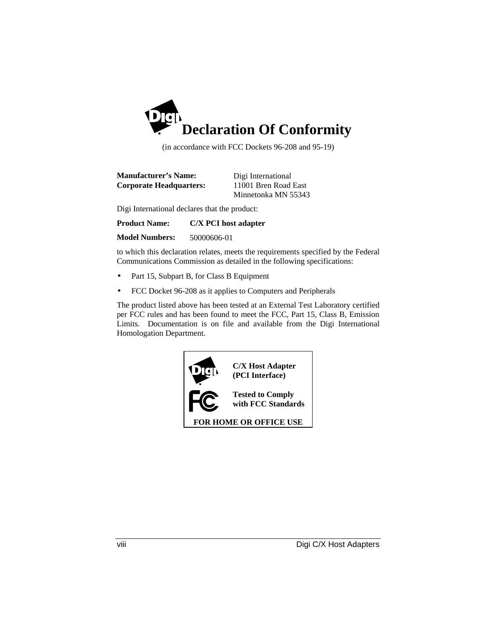

(in accordance with FCC Dockets 96-208 and 95-19)

| <b>Manufacturer's Name:</b>    | Digi International   |
|--------------------------------|----------------------|
| <b>Corporate Headquarters:</b> | 11001 Bren Road East |
|                                | Minnetonka MN 55343  |

Digi International declares that the product:

**Product Name: C/X PCI host adapter**

**Model Numbers:** 50000606-01

to which this declaration relates, meets the requirements specified by the Federal Communications Commission as detailed in the following specifications:

- Part 15, Subpart B, for Class B Equipment
- FCC Docket 96-208 as it applies to Computers and Peripherals

The product listed above has been tested at an External Test Laboratory certified per FCC rules and has been found to meet the FCC, Part 15, Class B, Emission Limits. Documentation is on file and available from the Digi International Homologation Department.

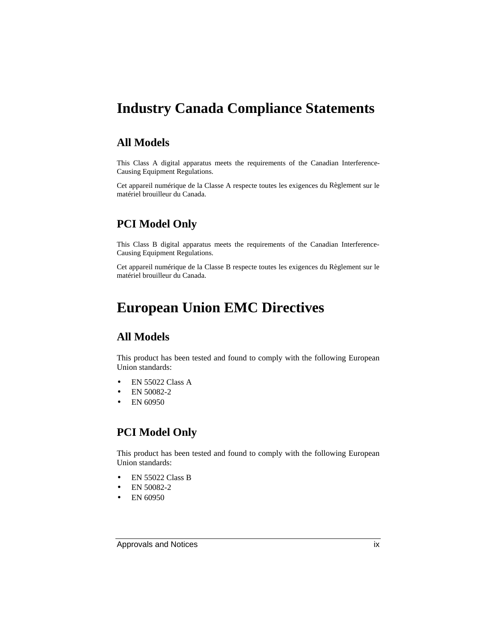### **Industry Canada Compliance Statements**

#### **All Models**

This Class A digital apparatus meets the requirements of the Canadian Interference-Causing Equipment Regulations.

Cet appareil numérique de la Classe A respecte toutes les exigences du Règlement sur le matériel brouilleur du Canada.

### **PCI Model Only**

This Class B digital apparatus meets the requirements of the Canadian Interference-Causing Equipment Regulations.

Cet appareil numérique de la Classe B respecte toutes les exigences du Règlement sur le matériel brouilleur du Canada.

### **European Union EMC Directives**

#### **All Models**

This product has been tested and found to comply with the following European Union standards:

- EN 55022 Class A
- EN 50082-2
- EN 60950

#### **PCI Model Only**

This product has been tested and found to comply with the following European Union standards:

- EN 55022 Class B
- EN 50082-2
- EN 60950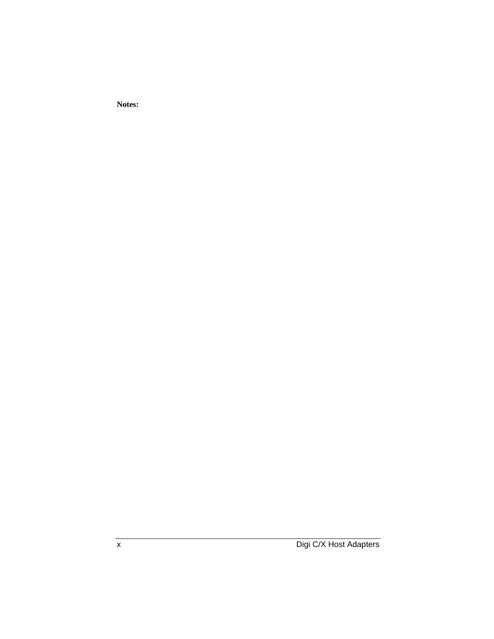**Notes:**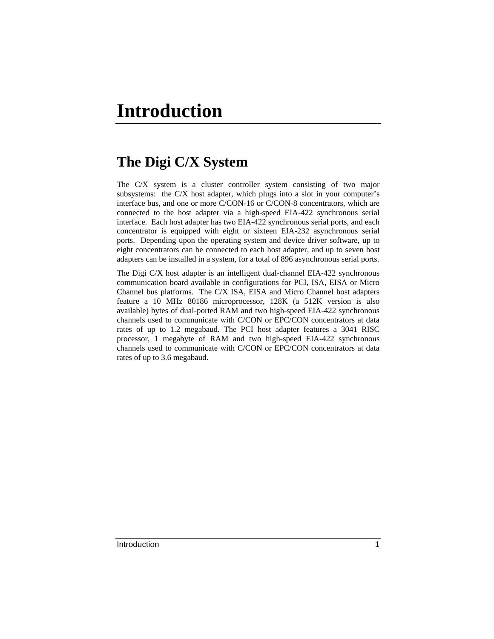### **The Digi C/X System**

The C/X system is a cluster controller system consisting of two major subsystems: the C/X host adapter, which plugs into a slot in your computer's interface bus, and one or more C/CON-16 or C/CON-8 concentrators, which are connected to the host adapter via a high-speed EIA-422 synchronous serial interface. Each host adapter has two EIA-422 synchronous serial ports, and each concentrator is equipped with eight or sixteen EIA-232 asynchronous serial ports. Depending upon the operating system and device driver software, up to eight concentrators can be connected to each host adapter, and up to seven host adapters can be installed in a system, for a total of 896 asynchronous serial ports.

The Digi C/X host adapter is an intelligent dual-channel EIA-422 synchronous communication board available in configurations for PCI, ISA, EISA or Micro Channel bus platforms. The C/X ISA, EISA and Micro Channel host adapters feature a 10 MHz 80186 microprocessor, 128K (a 512K version is also available) bytes of dual-ported RAM and two high-speed EIA-422 synchronous channels used to communicate with C/CON or EPC/CON concentrators at data rates of up to 1.2 megabaud. The PCI host adapter features a 3041 RISC processor, 1 megabyte of RAM and two high-speed EIA-422 synchronous channels used to communicate with C/CON or EPC/CON concentrators at data rates of up to 3.6 megabaud.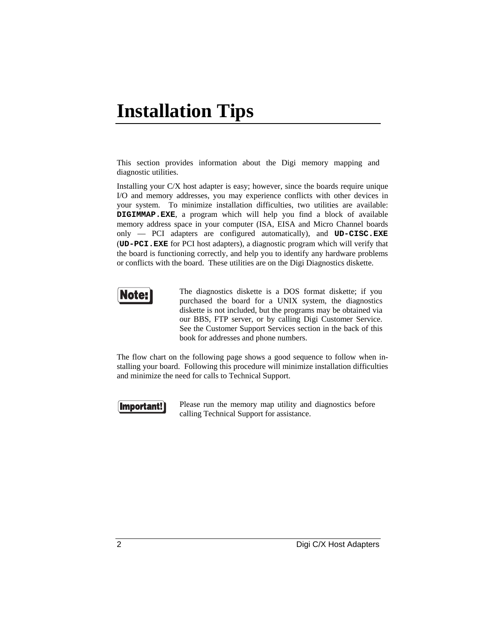## **Installation Tips**

This section provides information about the Digi memory mapping and diagnostic utilities.

Installing your C/X host adapter is easy; however, since the boards require unique I/O and memory addresses, you may experience conflicts with other devices in your system. To minimize installation difficulties, two utilities are available: **DIGIMMAP.EXE**, a program which will help you find a block of available memory address space in your computer (ISA, EISA and Micro Channel boards only — PCI adapters are configured automatically), and **UD-CISC.EXE** (**UD-PCI.EXE** for PCI host adapters), a diagnostic program which will verify that the board is functioning correctly, and help you to identify any hardware problems or conflicts with the board. These utilities are on the Digi Diagnostics diskette.



The diagnostics diskette is a DOS format diskette; if you purchased the board for a UNIX system, the diagnostics diskette is not included, but the programs may be obtained via our BBS, FTP server, or by calling Digi Customer Service. See the Customer Support Services section in the back of this book for addresses and phone numbers.

The flow chart on the following page shows a good sequence to follow when installing your board. Following this procedure will minimize installation difficulties and minimize the need for calls to Technical Support.



Please run the memory map utility and diagnostics before calling Technical Support for assistance.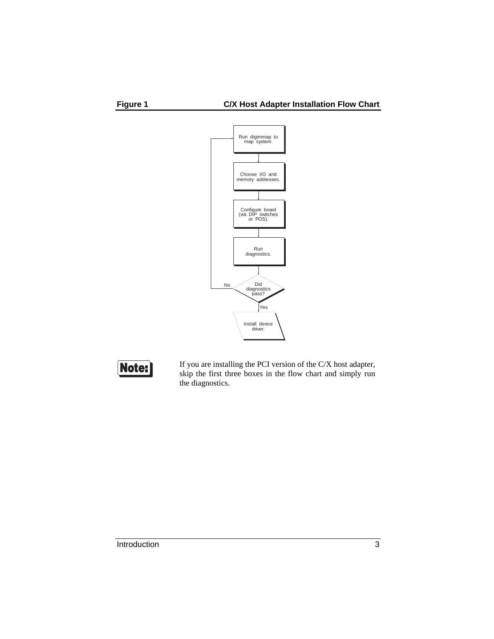





If you are installing the PCI version of the C/X host adapter, skip the first three boxes in the flow chart and simply run the diagnostics.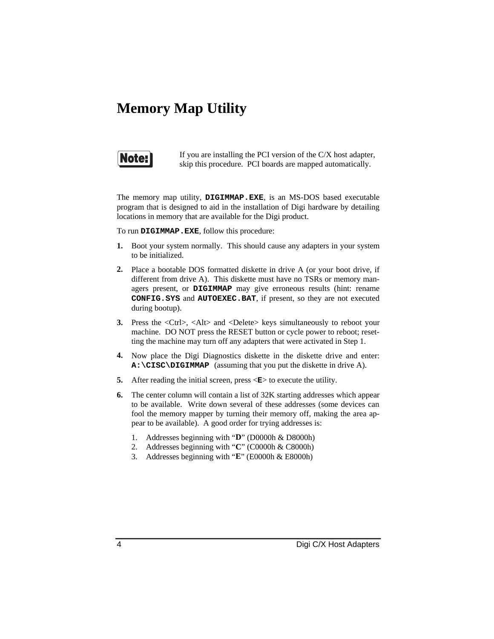### **Memory Map Utility**



If you are installing the PCI version of the C/X host adapter, skip this procedure. PCI boards are mapped automatically.

The memory map utility, **DIGIMMAP.EXE**, is an MS-DOS based executable program that is designed to aid in the installation of Digi hardware by detailing locations in memory that are available for the Digi product.

To run **DIGIMMAP.EXE**, follow this procedure:

- **1.** Boot your system normally. This should cause any adapters in your system to be initialized.
- **2.** Place a bootable DOS formatted diskette in drive A (or your boot drive, if different from drive A). This diskette must have no TSRs or memory managers present, or **DIGIMMAP** may give erroneous results (hint: rename **CONFIG.SYS** and **AUTOEXEC.BAT**, if present, so they are not executed during bootup).
- **3.** Press the <Ctrl>, <Alt> and <Delete> keys simultaneously to reboot your machine. DO NOT press the RESET button or cycle power to reboot; resetting the machine may turn off any adapters that were activated in Step 1.
- **4.** Now place the Digi Diagnostics diskette in the diskette drive and enter: **A:\CISC\DIGIMMAP** (assuming that you put the diskette in drive A).
- **5.** After reading the initial screen, press  $\leq E$  to execute the utility.
- **6.** The center column will contain a list of 32K starting addresses which appear to be available. Write down several of these addresses (some devices can fool the memory mapper by turning their memory off, making the area appear to be available). A good order for trying addresses is:
	- 1. Addresses beginning with "**D**" (D0000h & D8000h)
	- 2. Addresses beginning with "**C**" (C0000h & C8000h)
	- 3. Addresses beginning with "**E**" (E0000h & E8000h)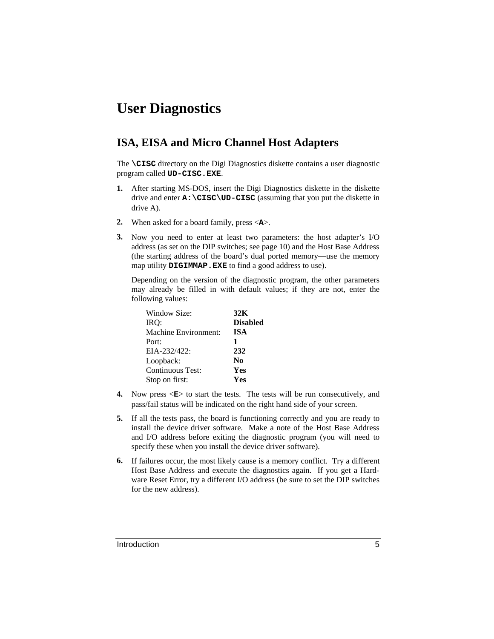### **User Diagnostics**

#### **ISA, EISA and Micro Channel Host Adapters**

The **\CISC** directory on the Digi Diagnostics diskette contains a user diagnostic program called **UD-CISC.EXE**.

- **1.** After starting MS-DOS, insert the Digi Diagnostics diskette in the diskette drive and enter **A:\CISC\UD-CISC** (assuming that you put the diskette in drive A).
- **2.** When asked for a board family, press <**A**>.
- **3.** Now you need to enter at least two parameters: the host adapter's I/O address (as set on the DIP switches; see page 10) and the Host Base Address (the starting address of the board's dual ported memory—use the memory map utility **DIGIMMAP.EXE** to find a good address to use).

Depending on the version of the diagnostic program, the other parameters may already be filled in with default values; if they are not, enter the following values:

| Window Size:         | 32K             |
|----------------------|-----------------|
| IRO:                 | <b>Disabled</b> |
| Machine Environment: | <b>ISA</b>      |
| Port:                | 1               |
| $EIA-232/422$ :      | 232             |
| Loopback:            | N <sub>0</sub>  |
| Continuous Test:     | Yes             |
| Stop on first:       | Yes             |

- **4.** Now press  $\langle \mathbf{E} \rangle$  to start the tests. The tests will be run consecutively, and pass/fail status will be indicated on the right hand side of your screen.
- **5.** If all the tests pass, the board is functioning correctly and you are ready to install the device driver software. Make a note of the Host Base Address and I/O address before exiting the diagnostic program (you will need to specify these when you install the device driver software).
- **6.** If failures occur, the most likely cause is a memory conflict. Try a different Host Base Address and execute the diagnostics again. If you get a Hardware Reset Error, try a different I/O address (be sure to set the DIP switches for the new address).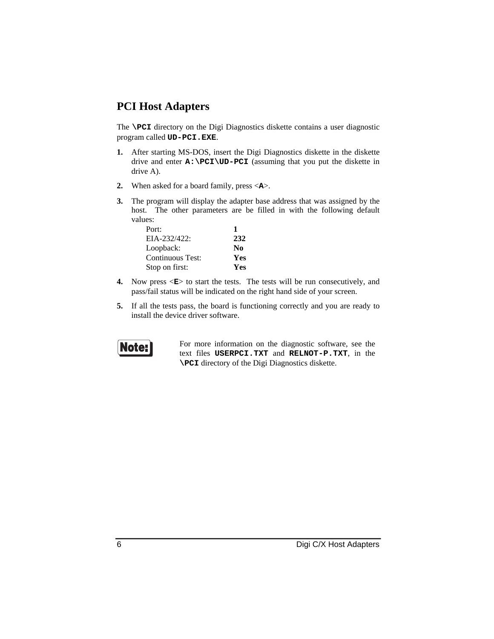#### **PCI Host Adapters**

The **\PCI** directory on the Digi Diagnostics diskette contains a user diagnostic program called **UD-PCI.EXE**.

- **1.** After starting MS-DOS, insert the Digi Diagnostics diskette in the diskette drive and enter  $A: \P C I \U D- P C I$  (assuming that you put the diskette in drive A).
- **2.** When asked for a board family, press <**A**>.
- **3.** The program will display the adapter base address that was assigned by the host. The other parameters are be filled in with the following default values:

| Port:            |                |
|------------------|----------------|
| EIA-232/422:     | 232            |
| Loopback:        | N <sub>0</sub> |
| Continuous Test: | Yes            |
| Stop on first:   | <b>Yes</b>     |

- **4.** Now press  $\leq$ **E**> to start the tests. The tests will be run consecutively, and pass/fail status will be indicated on the right hand side of your screen.
- **5.** If all the tests pass, the board is functioning correctly and you are ready to install the device driver software.



For more information on the diagnostic software, see the text files **USERPCI.TXT** and **RELNOT-P.TXT**, in the **\PCI** directory of the Digi Diagnostics diskette.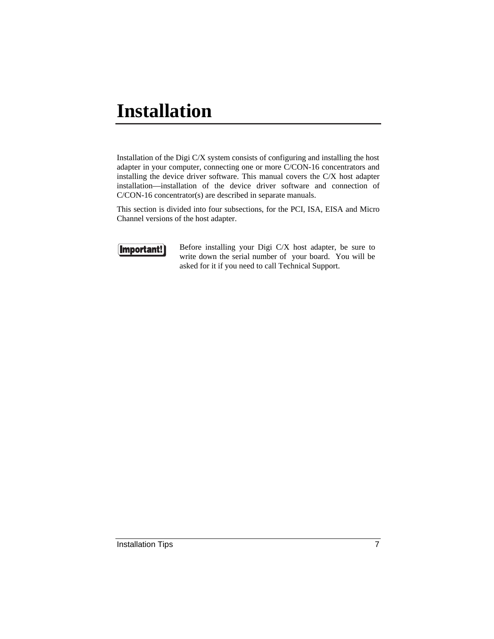# **Installation**

Installation of the Digi C/X system consists of configuring and installing the host adapter in your computer, connecting one or more C/CON-16 concentrators and installing the device driver software. This manual covers the C/X host adapter installation—installation of the device driver software and connection of C/CON-16 concentrator(s) are described in separate manuals.

This section is divided into four subsections, for the PCI, ISA, EISA and Micro Channel versions of the host adapter.



Before installing your Digi C/X host adapter, be sure to write down the serial number of your board. You will be asked for it if you need to call Technical Support.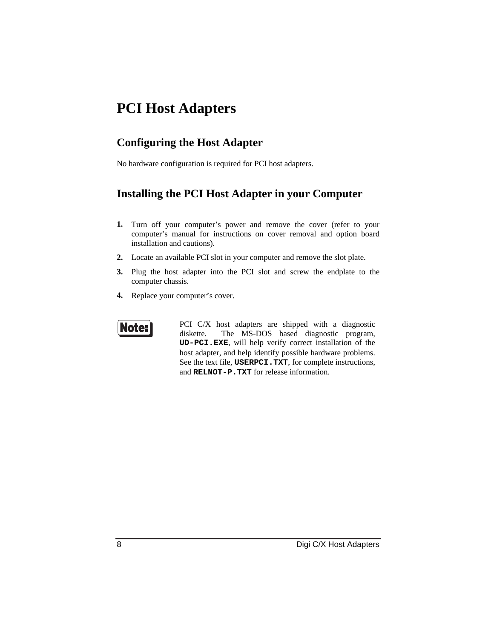### **PCI Host Adapters**

#### **Configuring the Host Adapter**

No hardware configuration is required for PCI host adapters.

#### **Installing the PCI Host Adapter in your Computer**

- **1.** Turn off your computer's power and remove the cover (refer to your computer's manual for instructions on cover removal and option board installation and cautions).
- **2.** Locate an available PCI slot in your computer and remove the slot plate.
- **3.** Plug the host adapter into the PCI slot and screw the endplate to the computer chassis.
- **4.** Replace your computer's cover.



PCI C/X host adapters are shipped with a diagnostic diskette. The MS-DOS based diagnostic program, **UD-PCI.EXE**, will help verify correct installation of the host adapter, and help identify possible hardware problems. See the text file, **USERPCI.TXT**, for complete instructions, and **RELNOT-P.TXT** for release information.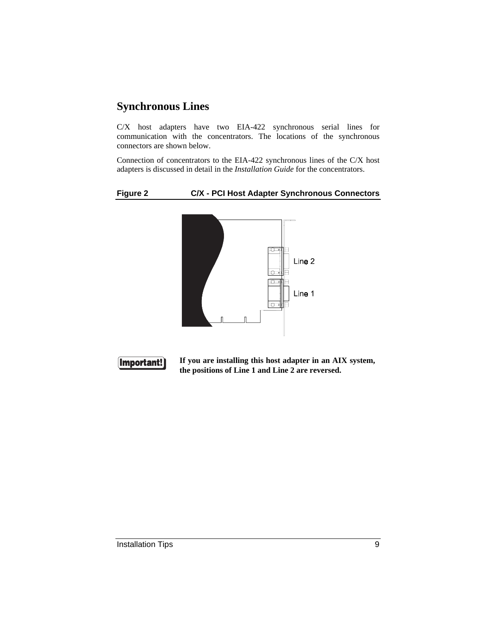#### **Synchronous Lines**

C/X host adapters have two EIA-422 synchronous serial lines for communication with the concentrators. The locations of the synchronous connectors are shown below.

Connection of concentrators to the EIA-422 synchronous lines of the C/X host adapters is discussed in detail in the *Installation Guide* for the concentrators.

#### **Figure 2 C/X - PCI Host Adapter Synchronous Connectors**





**If you are installing this host adapter in an AIX system, the positions of Line 1 and Line 2 are reversed.**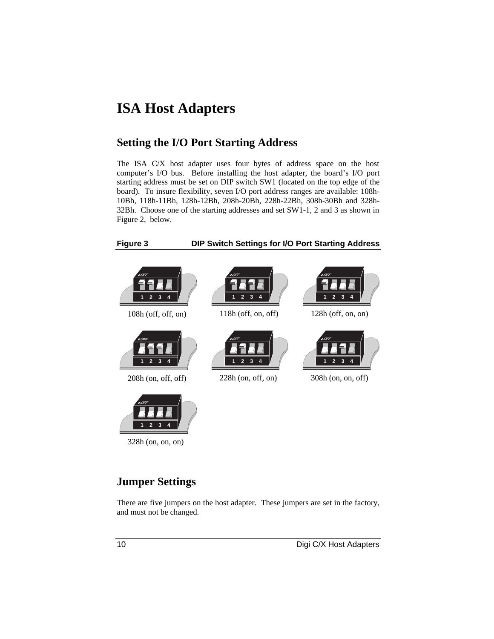### **ISA Host Adapters**

#### **Setting the I/O Port Starting Address**

The ISA C/X host adapter uses four bytes of address space on the host computer's I/O bus. Before installing the host adapter, the board's I/O port starting address must be set on DIP switch SW1 (located on the top edge of the board). To insure flexibility, seven I/O port address ranges are available: 108h-10Bh, 118h-11Bh, 128h-12Bh, 208h-20Bh, 228h-22Bh, 308h-30Bh and 328h-32Bh. Choose one of the starting addresses and set SW1-1, 2 and 3 as shown in Figure 2, below.



#### **Figure 3 DIP Switch Settings for I/O Port Starting Address**



#### **Jumper Settings**

There are five jumpers on the host adapter. These jumpers are set in the factory, and must not be changed.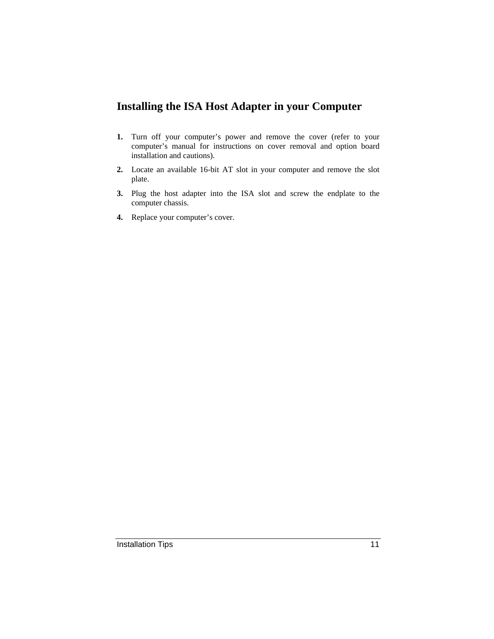#### **Installing the ISA Host Adapter in your Computer**

- **1.** Turn off your computer's power and remove the cover (refer to your computer's manual for instructions on cover removal and option board installation and cautions).
- **2.** Locate an available 16-bit AT slot in your computer and remove the slot plate.
- **3.** Plug the host adapter into the ISA slot and screw the endplate to the computer chassis.
- **4.** Replace your computer's cover.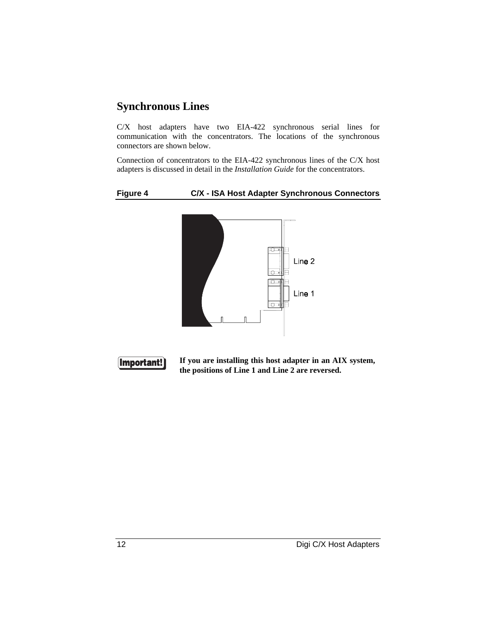#### **Synchronous Lines**

C/X host adapters have two EIA-422 synchronous serial lines for communication with the concentrators. The locations of the synchronous connectors are shown below.

Connection of concentrators to the EIA-422 synchronous lines of the C/X host adapters is discussed in detail in the *Installation Guide* for the concentrators.

#### **Figure 4 C/X - ISA Host Adapter Synchronous Connectors**





**If you are installing this host adapter in an AIX system, the positions of Line 1 and Line 2 are reversed.**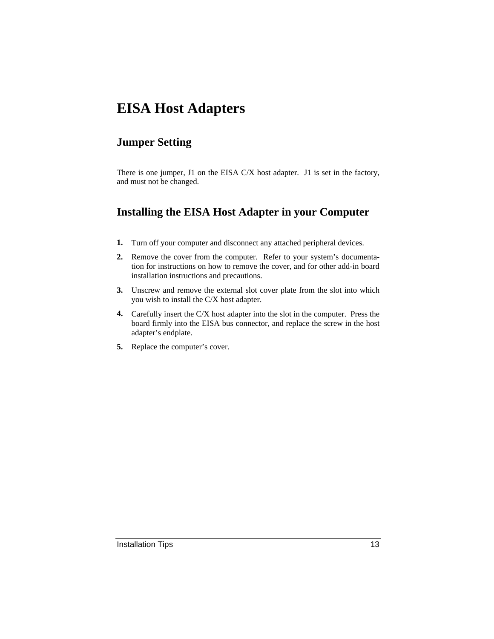### **EISA Host Adapters**

#### **Jumper Setting**

There is one jumper, J1 on the EISA C/X host adapter. J1 is set in the factory, and must not be changed.

### **Installing the EISA Host Adapter in your Computer**

- **1.** Turn off your computer and disconnect any attached peripheral devices.
- **2.** Remove the cover from the computer. Refer to your system's documentation for instructions on how to remove the cover, and for other add-in board installation instructions and precautions.
- **3.** Unscrew and remove the external slot cover plate from the slot into which you wish to install the C/X host adapter.
- **4.** Carefully insert the C/X host adapter into the slot in the computer. Press the board firmly into the EISA bus connector, and replace the screw in the host adapter's endplate.
- **5.** Replace the computer's cover.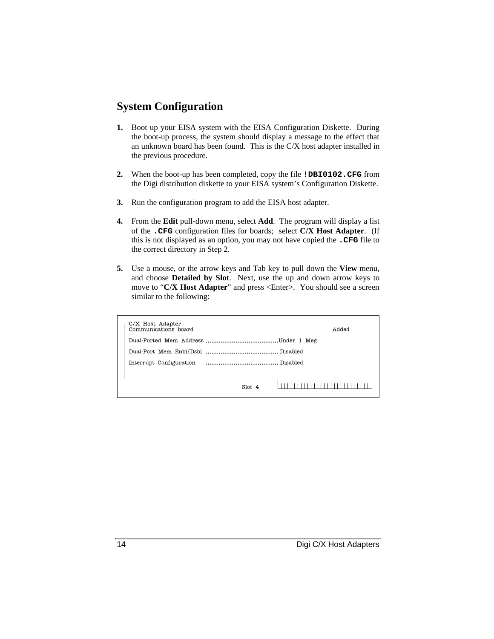#### **System Configuration**

- **1.** Boot up your EISA system with the EISA Configuration Diskette. During the boot-up process, the system should display a message to the effect that an unknown board has been found. This is the C/X host adapter installed in the previous procedure.
- **2.** When the boot-up has been completed, copy the file **!DBI0102.CFG** from the Digi distribution diskette to your EISA system's Configuration Diskette.
- **3.** Run the configuration program to add the EISA host adapter.
- **4.** From the **Edit** pull-down menu, select **Add**. The program will display a list of the **.CFG** configuration files for boards; select **C/X Host Adapter**. (If this is not displayed as an option, you may not have copied the **.CFG** file to the correct directory in Step 2.
- **5.** Use a mouse, or the arrow keys and Tab key to pull down the **View** menu, and choose **Detailed by Slot**. Next, use the up and down arrow keys to move to "**C/X Host Adapter**" and press <Enter>. You should see a screen similar to the following:

| Communications board |        | Added |
|----------------------|--------|-------|
|                      |        |       |
|                      |        |       |
|                      |        |       |
|                      |        |       |
|                      | Slot 4 |       |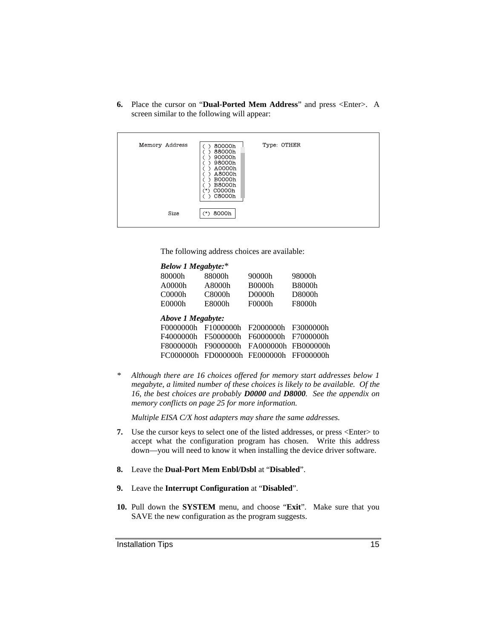**6.** Place the cursor on "**Dual-Ported Mem Address**" and press <Enter>. A screen similar to the following will appear:

| Memory Address | 80000h<br>88000h<br>90000h<br>98000h<br>A0000h<br>A8000h<br><b>B0000h</b><br><b>B8000h</b><br>C0000h<br>∵*<br>C8000h | Type: OTHER |  |
|----------------|----------------------------------------------------------------------------------------------------------------------|-------------|--|
| Size           | 8000h<br>$\rightarrow$                                                                                               |             |  |

The following address choices are available:

| <b>Below 1 Megabyte:*</b> |           |               |               |
|---------------------------|-----------|---------------|---------------|
| 80000h                    | 88000h    | 90000h        | 98000h        |
| A0000h                    | A8000h    | <b>B0000h</b> | <b>B8000h</b> |
| C0000h                    | C8000h    | D0000h        | D8000h        |
| E0000h                    | E8000h    | F0000h        | F8000h        |
| Above 1 Megabyte:         |           |               |               |
| F00000000h                | F1000000h | F2000000h     | F3000000h     |
| F4000000h                 | F5000000h | F6000000h     | F7000000h     |
| F8000000h                 | F9000000h | FA000000h     | FB000000h     |
| FC000000h                 | FD000000h | FE0000000h    | FF000000h     |
|                           |           |               |               |

*\* Although there are 16 choices offered for memory start addresses below 1 megabyte, a limited number of these choices is likely to be available. Of the 16, the best choices are probably D0000 and D8000. See the appendix on memory conflicts on page 25 for more information.*

*Multiple EISA C/X host adapters may share the same addresses.*

- **7.** Use the cursor keys to select one of the listed addresses, or press <Enter> to accept what the configuration program has chosen. Write this address down—you will need to know it when installing the device driver software.
- **8.** Leave the **Dual-Port Mem Enbl/Dsbl** at "**Disabled**".
- **9.** Leave the **Interrupt Configuration** at "**Disabled**".
- **10.** Pull down the **SYSTEM** menu, and choose "**Exit**". Make sure that you SAVE the new configuration as the program suggests.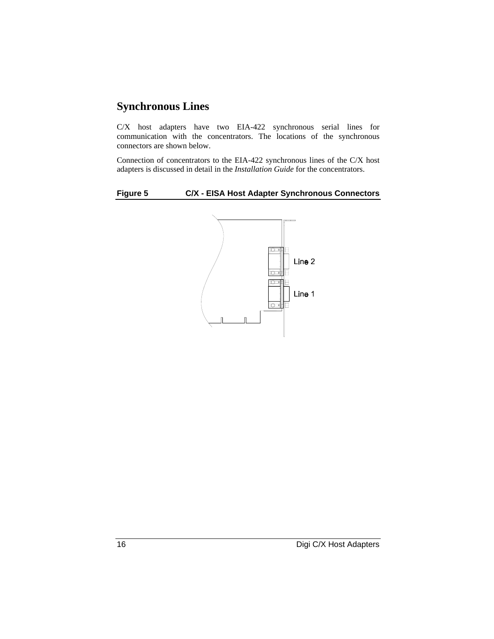### **Synchronous Lines**

C/X host adapters have two EIA-422 synchronous serial lines for communication with the concentrators. The locations of the synchronous connectors are shown below.

Connection of concentrators to the EIA-422 synchronous lines of the C/X host adapters is discussed in detail in the *Installation Guide* for the concentrators.

#### **Figure 5 C/X - EISA Host Adapter Synchronous Connectors**

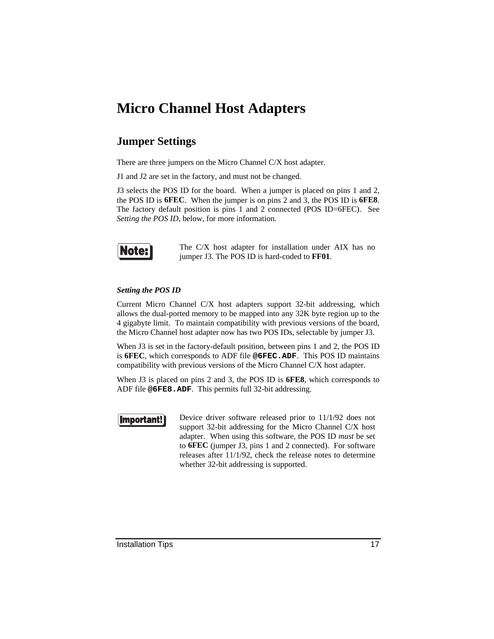### **Micro Channel Host Adapters**

#### **Jumper Settings**

There are three jumpers on the Micro Channel C/X host adapter.

J1 and J2 are set in the factory, and must not be changed.

J3 selects the POS ID for the board. When a jumper is placed on pins 1 and 2, the POS ID is **6FEC**. When the jumper is on pins 2 and 3, the POS ID is **6FE8**. The factory default position is pins 1 and 2 connected (POS ID=6FEC). See *Setting the POS ID*, below, for more information.



The C/X host adapter for installation under AIX has no jumper J3. The POS ID is hard-coded to **FF01**.

#### *Setting the POS ID*

Current Micro Channel C/X host adapters support 32-bit addressing, which allows the dual-ported memory to be mapped into any 32K byte region up to the 4 gigabyte limit. To maintain compatibility with previous versions of the board, the Micro Channel host adapter now has two POS IDs, selectable by jumper J3.

When J3 is set in the factory-default position, between pins 1 and 2, the POS ID is **6FEC**, which corresponds to ADF file **@6FEC.ADF**. This POS ID maintains compatibility with previous versions of the Micro Channel C/X host adapter.

When J3 is placed on pins 2 and 3, the POS ID is **6FE8**, which corresponds to ADF file **@6FE8.ADF**. This permits full 32-bit addressing.

#### **Important!**

Device driver software released prior to 11/1/92 does not support 32-bit addressing for the Micro Channel C/X host adapter. When using this software, the POS ID *must* be set to **6FEC** (jumper J3, pins 1 and 2 connected). For software releases after 11/1/92, check the release notes to determine whether 32-bit addressing is supported.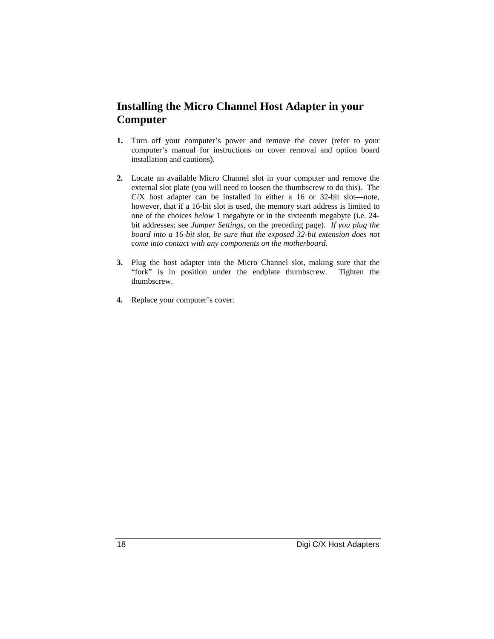#### **Installing the Micro Channel Host Adapter in your Computer**

- **1.** Turn off your computer's power and remove the cover (refer to your computer's manual for instructions on cover removal and option board installation and cautions).
- **2.** Locate an available Micro Channel slot in your computer and remove the external slot plate (you will need to loosen the thumbscrew to do this). The C/X host adapter can be installed in either a 16 or 32-bit slot—note, however, that if a 16-bit slot is used, the memory start address is limited to one of the choices *below* 1 megabyte or in the sixteenth megabyte (i.e. 24 bit addresses; see *Jumper Settings*, on the preceding page). *If you plug the board into a 16-bit slot, be sure that the exposed 32-bit extension does not come into contact with any components on the motherboard.*
- **3.** Plug the host adapter into the Micro Channel slot, making sure that the "fork" is in position under the endplate thumbscrew. Tighten the thumbscrew.
- **4.** Replace your computer's cover.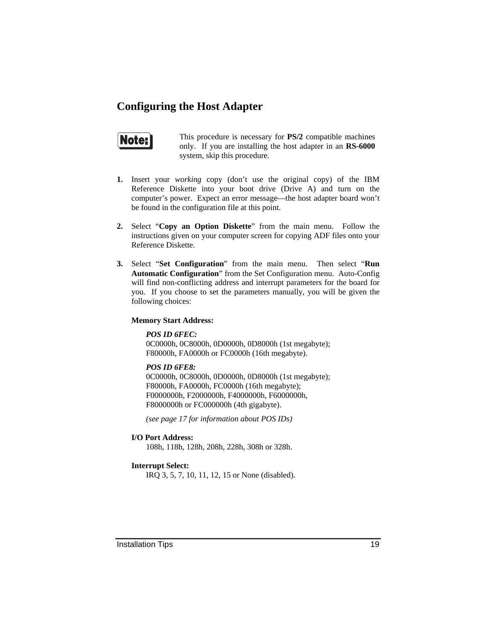#### **Configuring the Host Adapter**

### Note:

This procedure is necessary for **PS/2** compatible machines only. If you are installing the host adapter in an **RS-6000** system, skip this procedure.

- **1.** Insert your *working* copy (don't use the original copy) of the IBM Reference Diskette into your boot drive (Drive A) and turn on the computer's power. Expect an error message—the host adapter board won't be found in the configuration file at this point.
- **2.** Select "**Copy an Option Diskette**" from the main menu. Follow the instructions given on your computer screen for copying ADF files onto your Reference Diskette.
- **3.** Select "**Set Configuration**" from the main menu. Then select "**Run Automatic Configuration**" from the Set Configuration menu. Auto-Config will find non-conflicting address and interrupt parameters for the board for you. If you choose to set the parameters manually, you will be given the following choices:

#### **Memory Start Address:**

*POS ID 6FEC:*

0C0000h, 0C8000h, 0D0000h, 0D8000h (1st megabyte); F80000h, FA0000h or FC0000h (16th megabyte).

*POS ID 6FE8:*

0C0000h, 0C8000h, 0D0000h, 0D8000h (1st megabyte); F80000h, FA0000h, FC0000h (16th megabyte); F0000000h, F2000000h, F4000000h, F6000000h, F8000000h or FC000000h (4th gigabyte).

*(see page 17 for information about POS IDs)*

**I/O Port Address:**

108h, 118h, 128h, 208h, 228h, 308h or 328h.

#### **Interrupt Select:**

IRQ 3, 5, 7, 10, 11, 12, 15 or None (disabled).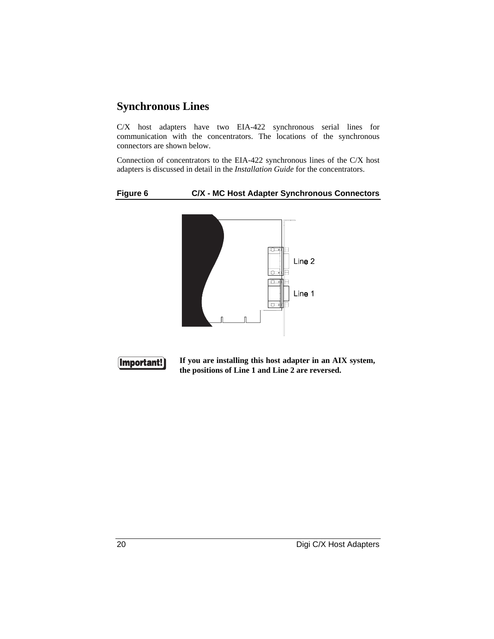#### **Synchronous Lines**

C/X host adapters have two EIA-422 synchronous serial lines for communication with the concentrators. The locations of the synchronous connectors are shown below.

Connection of concentrators to the EIA-422 synchronous lines of the C/X host adapters is discussed in detail in the *Installation Guide* for the concentrators.

#### **Figure 6 C/X - MC Host Adapter Synchronous Connectors**





**If you are installing this host adapter in an AIX system, the positions of Line 1 and Line 2 are reversed.**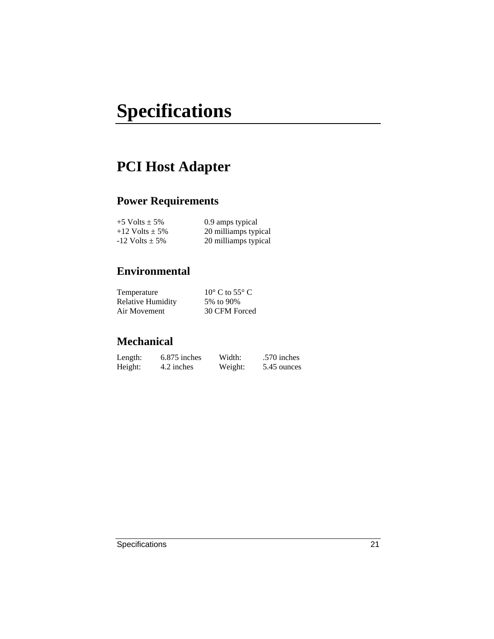# **Specifications**

### **PCI Host Adapter**

### **Power Requirements**

| $+5$ Volts $\pm$ 5%  | 0.9 amps typical     |
|----------------------|----------------------|
| $+12$ Volts $\pm$ 5% | 20 milliamps typical |
| $-12$ Volts $\pm$ 5% | 20 milliamps typical |

### **Environmental**

| Temperature              | $10^{\circ}$ C to 55 $^{\circ}$ C |
|--------------------------|-----------------------------------|
| <b>Relative Humidity</b> | 5% to 90%                         |
| Air Movement             | 30 CFM Forced                     |

| Length: | 6.875 inches | Width:  | .570 inches |
|---------|--------------|---------|-------------|
| Height: | 4.2 inches   | Weight: | 5.45 ounces |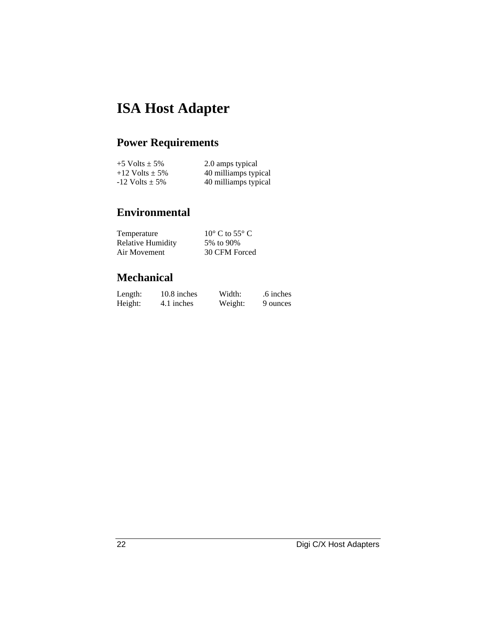### **ISA Host Adapter**

### **Power Requirements**

| $+5$ Volts $\pm$ 5%  | 2.0 amps typical     |
|----------------------|----------------------|
| $+12$ Volts $\pm$ 5% | 40 milliamps typical |
| $-12$ Volts $\pm$ 5% | 40 milliamps typical |

### **Environmental**

| Temperature              | $10^{\circ}$ C to 55 $^{\circ}$ C |
|--------------------------|-----------------------------------|
| <b>Relative Humidity</b> | 5% to 90%                         |
| Air Movement             | 30 CFM Forced                     |

| Length: | 10.8 inches | Width:  | .6 inches |
|---------|-------------|---------|-----------|
| Height: | 4.1 inches  | Weight: | 9 ounces  |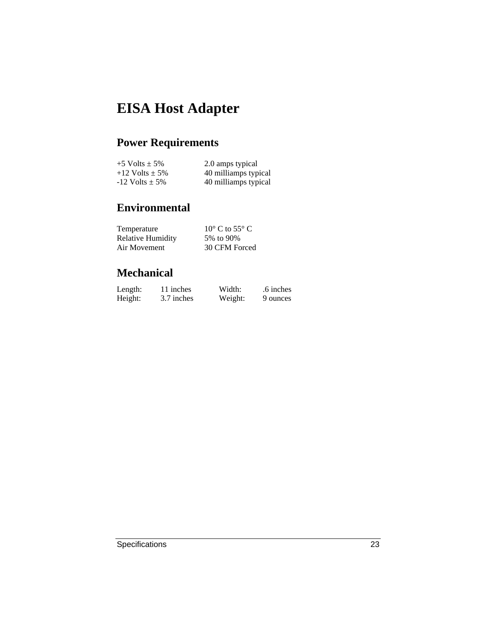### **EISA Host Adapter**

### **Power Requirements**

| $+5$ Volts $\pm$ 5%  | 2.0 amps typical     |
|----------------------|----------------------|
| $+12$ Volts $\pm$ 5% | 40 milliamps typical |
| $-12$ Volts $\pm$ 5% | 40 milliamps typical |

### **Environmental**

| Temperature              | $10^{\circ}$ C to 55 $^{\circ}$ C |
|--------------------------|-----------------------------------|
| <b>Relative Humidity</b> | 5% to 90%                         |
| Air Movement             | 30 CFM Forced                     |

| Length: | 11 inches  | Width:  | .6 inches |
|---------|------------|---------|-----------|
| Height: | 3.7 inches | Weight: | 9 ounces  |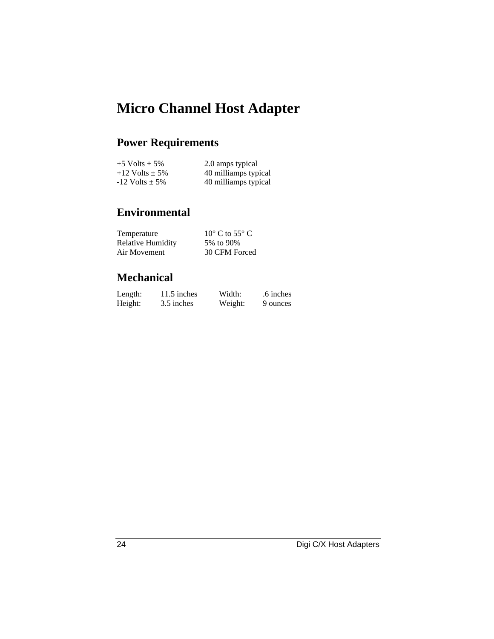### **Micro Channel Host Adapter**

### **Power Requirements**

| $+5$ Volts $\pm$ 5%  | 2.0 amps typical     |
|----------------------|----------------------|
| $+12$ Volts $\pm$ 5% | 40 milliamps typical |
| $-12$ Volts $\pm$ 5% | 40 milliamps typical |

### **Environmental**

| Temperature              | $10^{\circ}$ C to 55 $^{\circ}$ C |
|--------------------------|-----------------------------------|
| <b>Relative Humidity</b> | 5% to 90%                         |
| Air Movement             | 30 CFM Forced                     |

| Length: | 11.5 inches | Width:  | .6 inches |
|---------|-------------|---------|-----------|
| Height: | 3.5 inches  | Weight: | 9 ounces  |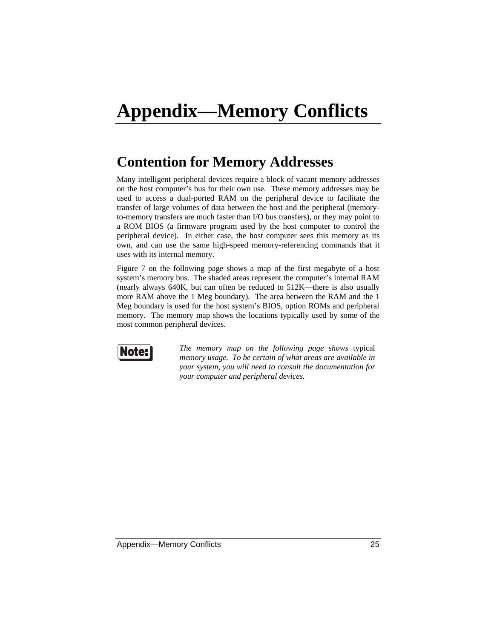### **Contention for Memory Addresses**

Many intelligent peripheral devices require a block of vacant memory addresses on the host computer's bus for their own use. These memory addresses may be used to access a dual-ported RAM on the peripheral device to facilitate the transfer of large volumes of data between the host and the peripheral (memoryto-memory transfers are much faster than I/O bus transfers), or they may point to a ROM BIOS (a firmware program used by the host computer to control the peripheral device). In either case, the host computer sees this memory as its own, and can use the same high-speed memory-referencing commands that it uses with its internal memory.

Figure 7 on the following page shows a map of the first megabyte of a host system's memory bus. The shaded areas represent the computer's internal RAM (nearly always 640K, but can often be reduced to 512K—there is also usually more RAM above the 1 Meg boundary). The area between the RAM and the 1 Meg boundary is used for the host system's BIOS, option ROMs and peripheral memory. The memory map shows the locations typically used by some of the most common peripheral devices.



*The memory map on the following page shows* typical *memory usage. To be certain of what areas are available in your system, you will need to consult the documentation for your computer and peripheral devices.*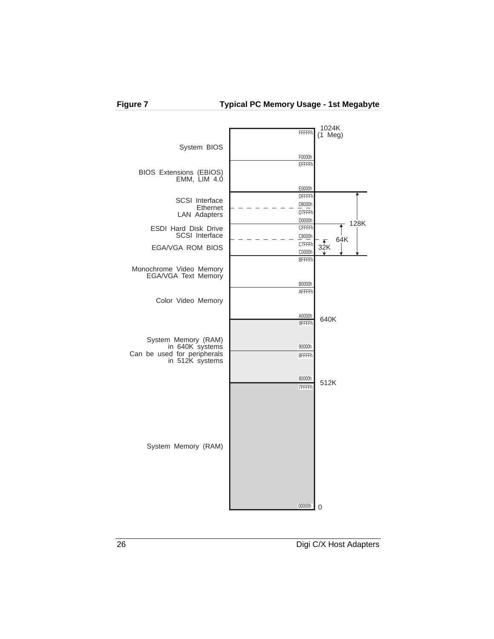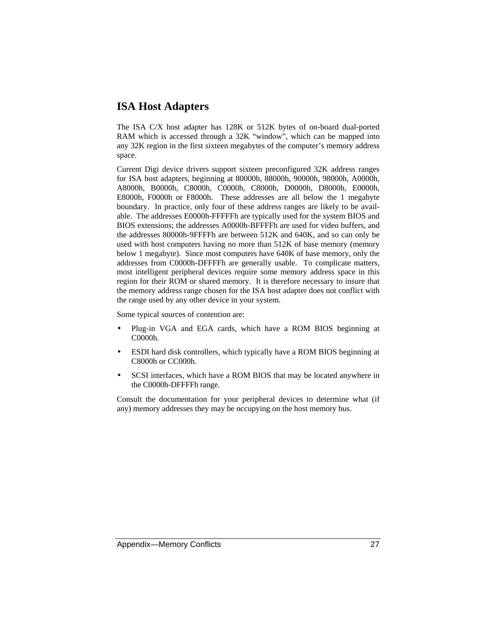#### **ISA Host Adapters**

The ISA C/X host adapter has 128K or 512K bytes of on-board dual-ported RAM which is accessed through a 32K "window", which can be mapped into any 32K region in the first sixteen megabytes of the computer's memory address space.

Current Digi device drivers support sixteen preconfigured 32K address ranges for ISA host adapters, beginning at 80000h, 88000h, 90000h, 98000h, A0000h, A8000h, B0000h, C8000h, C0000h, C8000h, D0000h, D8000h, E0000h, E8000h, F0000h or F8000h. These addresses are all below the 1 megabyte boundary. In practice, only four of these address ranges are likely to be available. The addresses E0000h-FFFFFh are typically used for the system BIOS and BIOS extensions; the addresses A0000h-BFFFFh are used for video buffers, and the addresses 80000h-9FFFFh are between 512K and 640K, and so can only be used with host computers having no more than 512K of base memory (memory below 1 megabyte). Since most computers have 640K of base memory, only the addresses from C0000h-DFFFFh are generally usable. To complicate matters, most intelligent peripheral devices require some memory address space in this region for their ROM or shared memory. It is therefore necessary to insure that the memory address range chosen for the ISA host adapter does not conflict with the range used by any other device in your system.

Some typical sources of contention are:

- Plug-in VGA and EGA cards, which have a ROM BIOS beginning at C0000h.
- ESDI hard disk controllers, which typically have a ROM BIOS beginning at C8000h or CC000h.
- SCSI interfaces, which have a ROM BIOS that may be located anywhere in the C0000h-DFFFFh range.

Consult the documentation for your peripheral devices to determine what (if any) memory addresses they may be occupying on the host memory bus.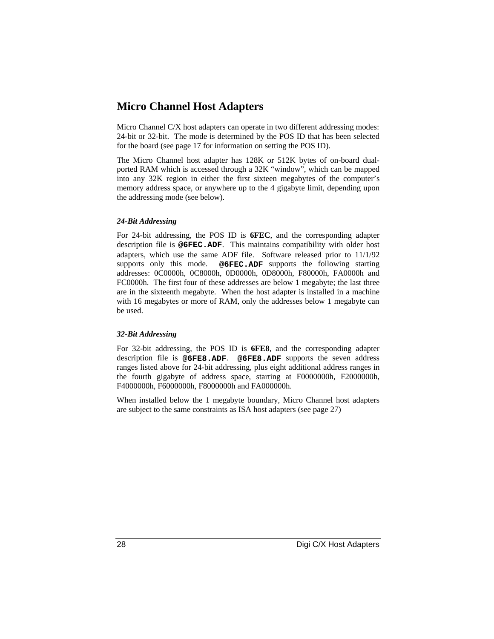#### **Micro Channel Host Adapters**

Micro Channel C/X host adapters can operate in two different addressing modes: 24-bit or 32-bit. The mode is determined by the POS ID that has been selected for the board (see page 17 for information on setting the POS ID).

The Micro Channel host adapter has 128K or 512K bytes of on-board dualported RAM which is accessed through a 32K "window", which can be mapped into any 32K region in either the first sixteen megabytes of the computer's memory address space, or anywhere up to the 4 gigabyte limit, depending upon the addressing mode (see below).

#### *24-Bit Addressing*

For 24-bit addressing, the POS ID is **6FEC**, and the corresponding adapter description file is **@6FEC.ADF**. This maintains compatibility with older host adapters, which use the same ADF file. Software released prior to 11/1/92 supports only this mode. **@6FEC.ADF** supports the following starting addresses: 0C0000h, 0C8000h, 0D0000h, 0D8000h, F80000h, FA0000h and FC0000h. The first four of these addresses are below 1 megabyte; the last three are in the sixteenth megabyte. When the host adapter is installed in a machine with 16 megabytes or more of RAM, only the addresses below 1 megabyte can be used.

#### *32-Bit Addressing*

For 32-bit addressing, the POS ID is **6FE8**, and the corresponding adapter description file is **@6FE8.ADF**. **@6FE8.ADF** supports the seven address ranges listed above for 24-bit addressing, plus eight additional address ranges in the fourth gigabyte of address space, starting at F0000000h, F2000000h, F4000000h, F6000000h, F8000000h and FA000000h.

When installed below the 1 megabyte boundary, Micro Channel host adapters are subject to the same constraints as ISA host adapters (see page 27)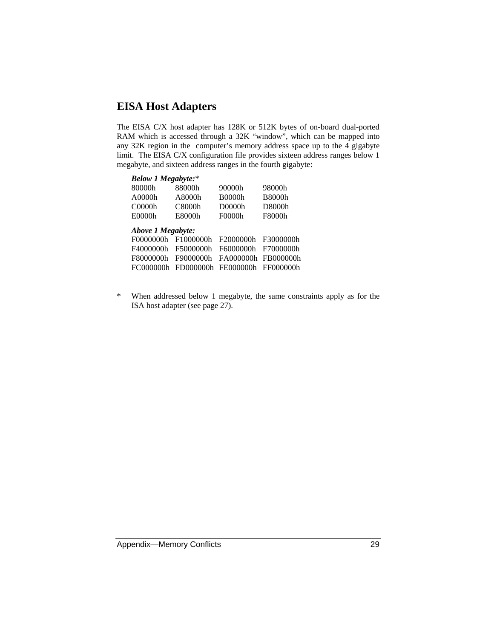#### **EISA Host Adapters**

The EISA C/X host adapter has 128K or 512K bytes of on-board dual-ported RAM which is accessed through a 32K "window", which can be mapped into any 32K region in the computer's memory address space up to the 4 gigabyte limit. The EISA C/X configuration file provides sixteen address ranges below 1 megabyte, and sixteen address ranges in the fourth gigabyte:

| <b>Below 1 Megabyte:*</b>                                             |                                                  |                                                   |                                                  |
|-----------------------------------------------------------------------|--------------------------------------------------|---------------------------------------------------|--------------------------------------------------|
| 80000h                                                                | 88000h                                           | 90000h                                            | 98000h                                           |
| A0000h                                                                | A8000h                                           | <b>B0000h</b>                                     | <b>B8000h</b>                                    |
| C0000h                                                                | C8000h                                           | D0000h                                            | D8000h                                           |
| E0000h                                                                | E8000h                                           | F0000h                                            | F8000h                                           |
| Above 1 Megabyte:<br>F0000000h<br>F4000000h<br>F8000000h<br>FC000000h | F1000000h<br>F5000000h<br>F9000000h<br>FD000000h | F2000000h<br>F6000000h<br>FA000000h<br>FE0000000h | F3000000h<br>F7000000h<br>FB000000h<br>FF000000h |
|                                                                       |                                                  |                                                   |                                                  |

\* When addressed below 1 megabyte, the same constraints apply as for the ISA host adapter (see page 27).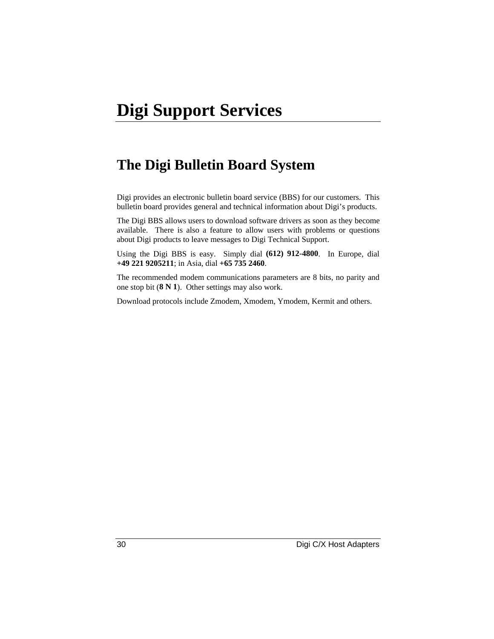### **The Digi Bulletin Board System**

Digi provides an electronic bulletin board service (BBS) for our customers. This bulletin board provides general and technical information about Digi's products.

The Digi BBS allows users to download software drivers as soon as they become available. There is also a feature to allow users with problems or questions about Digi products to leave messages to Digi Technical Support.

Using the Digi BBS is easy. Simply dial **(612) 912-4800**. In Europe, dial **+49 221 9205211**; in Asia, dial **+65 735 2460**.

The recommended modem communications parameters are 8 bits, no parity and one stop bit (**8 N 1**). Other settings may also work.

Download protocols include Zmodem, Xmodem, Ymodem, Kermit and others.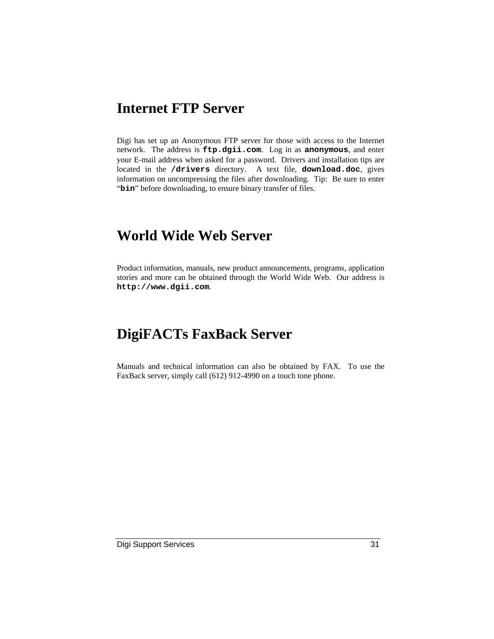### **Internet FTP Server**

Digi has set up an Anonymous FTP server for those with access to the Internet network. The address is **ftp.dgii.com**. Log in as **anonymous**, and enter your E-mail address when asked for a password. Drivers and installation tips are located in the **/drivers** directory. A text file, **download.doc**, gives information on uncompressing the files after downloading. Tip: Be sure to enter "bin" before downloading, to ensure binary transfer of files.

### **World Wide Web Server**

Product information, manuals, new product announcements, programs, application stories and more can be obtained through the World Wide Web. Our address is **http://www.dgii.com**.

### **DigiFACTs FaxBack Server**

Manuals and technical information can also be obtained by FAX. To use the FaxBack server, simply call (612) 912-4990 on a touch tone phone.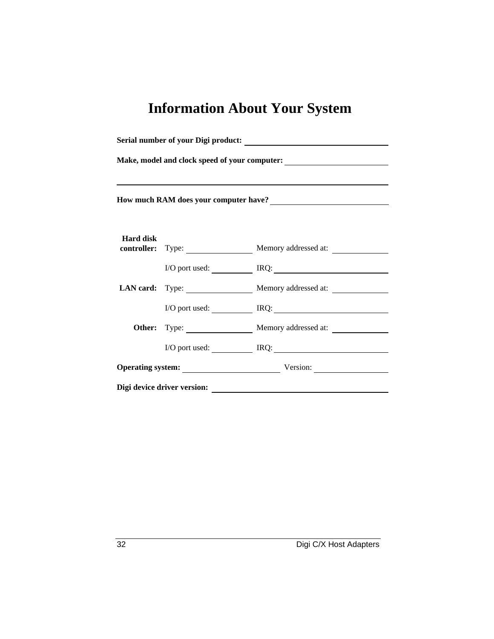# **Information About Your System**

|                                                                                                                                                                                                                                        | Make, model and clock speed of your computer:<br><u>Letting and the speed of your computer:</u> |                                        |  |  |
|----------------------------------------------------------------------------------------------------------------------------------------------------------------------------------------------------------------------------------------|-------------------------------------------------------------------------------------------------|----------------------------------------|--|--|
| How much RAM does your computer have?<br><u>Letting and the set of the set of the set of the set of the set of the set of the set of the set of the set of the set of the set of the set of the set of the set of the set of the s</u> |                                                                                                 |                                        |  |  |
| <b>Hard disk</b>                                                                                                                                                                                                                       |                                                                                                 | controller: Type: Memory addressed at: |  |  |
|                                                                                                                                                                                                                                        |                                                                                                 | I/O port used: IRQ: IRQ:               |  |  |
|                                                                                                                                                                                                                                        |                                                                                                 | LAN card: Type: Memory addressed at:   |  |  |
|                                                                                                                                                                                                                                        |                                                                                                 | I/O port used: IRQ: IRQ:               |  |  |
|                                                                                                                                                                                                                                        |                                                                                                 | Other: Type: Memory addressed at:      |  |  |
|                                                                                                                                                                                                                                        |                                                                                                 | $I/O$ port used: $IRQ$ :               |  |  |
|                                                                                                                                                                                                                                        |                                                                                                 | Operating system: Version: Version:    |  |  |
|                                                                                                                                                                                                                                        | Digi device driver version:                                                                     |                                        |  |  |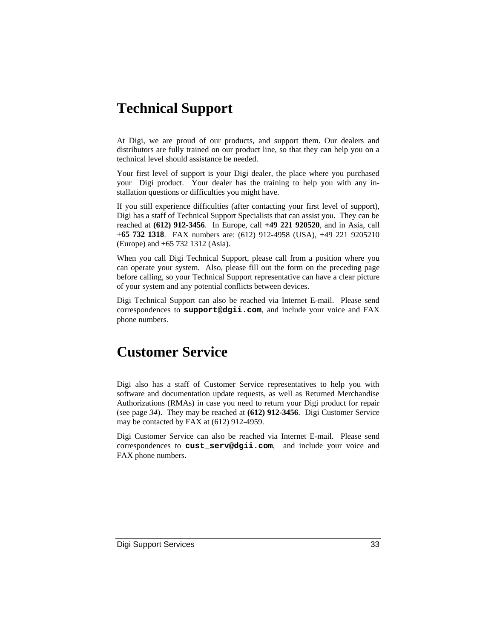### **Technical Support**

At Digi, we are proud of our products, and support them. Our dealers and distributors are fully trained on our product line, so that they can help you on a technical level should assistance be needed.

Your first level of support is your Digi dealer, the place where you purchased your Digi product. Your dealer has the training to help you with any installation questions or difficulties you might have.

If you still experience difficulties (after contacting your first level of support), Digi has a staff of Technical Support Specialists that can assist you. They can be reached at **(612) 912-3456**. In Europe, call **+49 221 920520**, and in Asia, call **+65 732 1318**. FAX numbers are: (612) 912-4958 (USA), +49 221 9205210 (Europe) and +65 732 1312 (Asia).

When you call Digi Technical Support, please call from a position where you can operate your system. Also, please fill out the form on the preceding page before calling, so your Technical Support representative can have a clear picture of your system and any potential conflicts between devices.

Digi Technical Support can also be reached via Internet E-mail. Please send correspondences to **support@dgii.com**, and include your voice and FAX phone numbers.

### **Customer Service**

Digi also has a staff of Customer Service representatives to help you with software and documentation update requests, as well as Returned Merchandise Authorizations (RMAs) in case you need to return your Digi product for repair (see page *34*). They may be reached at **(612) 912-3456**. Digi Customer Service may be contacted by FAX at (612) 912-4959.

Digi Customer Service can also be reached via Internet E-mail. Please send correspondences to **cust\_serv@dgii.com**, and include your voice and FAX phone numbers.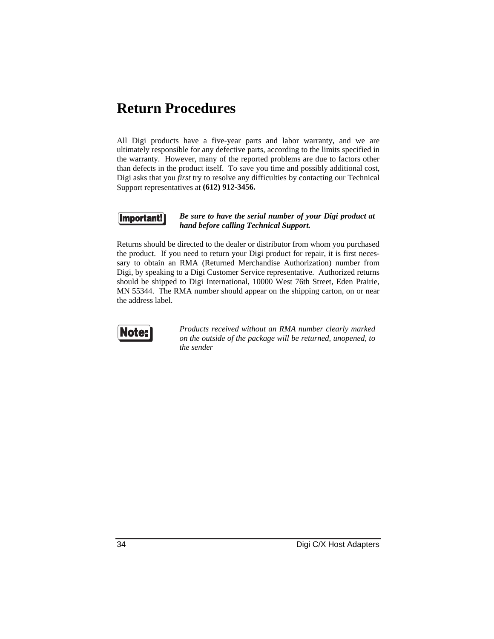### **Return Procedures**

All Digi products have a five-year parts and labor warranty, and we are ultimately responsible for any defective parts, according to the limits specified in the warranty. However, many of the reported problems are due to factors other than defects in the product itself. To save you time and possibly additional cost, Digi asks that you *first* try to resolve any difficulties by contacting our Technical Support representatives at **(612) 912-3456.**



#### *Be sure to have the serial number of your Digi product at hand before calling Technical Support.*

Returns should be directed to the dealer or distributor from whom you purchased the product. If you need to return your Digi product for repair, it is first necessary to obtain an RMA (Returned Merchandise Authorization) number from Digi, by speaking to a Digi Customer Service representative. Authorized returns should be shipped to Digi International, 10000 West 76th Street, Eden Prairie, MN 55344. The RMA number should appear on the shipping carton, on or near the address label.



*Products received without an RMA number clearly marked on the outside of the package will be returned, unopened, to the sender*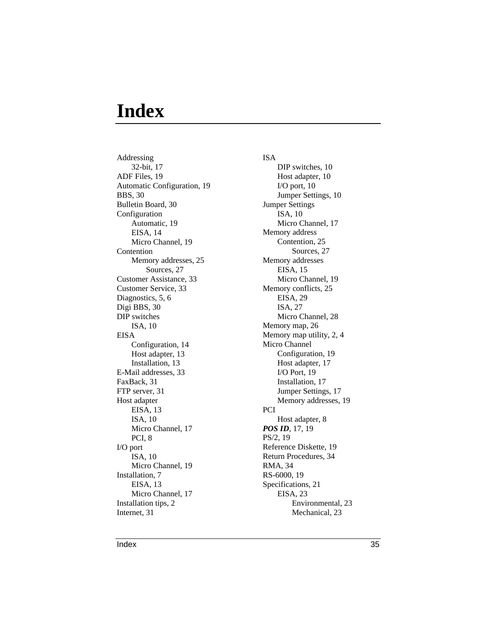## **Index**

Addressing 32-bit, 17 ADF Files, 19 Automatic Configuration, 19 BBS, 30 Bulletin Board, 30 Configuration Automatic, 19 EISA, 14 Micro Channel, 19 Contention Memory addresses, 25 Sources, 27 Customer Assistance, 33 Customer Service, 33 Diagnostics, 5, 6 Digi BBS, 30 DIP switches ISA, 10 EISA Configuration, 14 Host adapter, 13 Installation, 13 E-Mail addresses, 33 FaxBack, 31 FTP server, 31 Host adapter EISA, 13 ISA, 10 Micro Channel, 17 PCI, 8 I/O port ISA, 10 Micro Channel, 19 Installation, 7 EISA, 13 Micro Channel, 17 Installation tips, 2 Internet, 31

#### ISA DIP switches, 10 Host adapter, 10 I/O port, 10 Jumper Settings, 10 Jumper Settings ISA, 10 Micro Channel, 17 Memory address Contention, 25 Sources, 27 Memory addresses EISA, 15 Micro Channel, 19 Memory conflicts, 25 EISA, 29 ISA, 27 Micro Channel, 28 Memory map, 26 Memory map utility, 2, 4 Micro Channel Configuration, 19 Host adapter, 17 I/O Port, 19 Installation, 17 Jumper Settings, 17 Memory addresses, 19 PCI Host adapter, 8 *POS ID*, 17, 19 PS/2, 19 Reference Diskette, 19 Return Procedures, 34 RMA, 34 RS-6000, 19 Specifications, 21 EISA, 23 Environmental, 23 Mechanical, 23